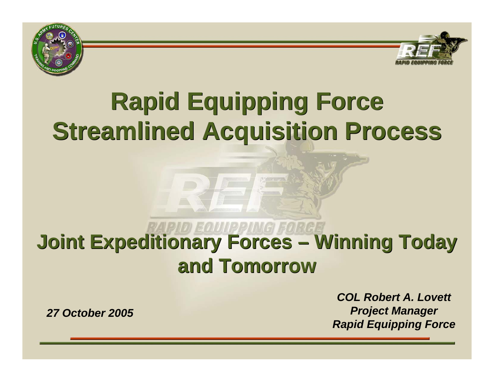



# **Rapid Equipping Force Rapid Equipping Force Streamlined Acquisition Process Streamlined Acquisition Process**

# **Joint Expeditionary Forces – Winning Today Joint Expeditionary Forces – Winning Today and Tomorrowand Tomorrow**

*COL Robert A. LovettProject Manager Rapid Equipping Force*

*27 October 2005*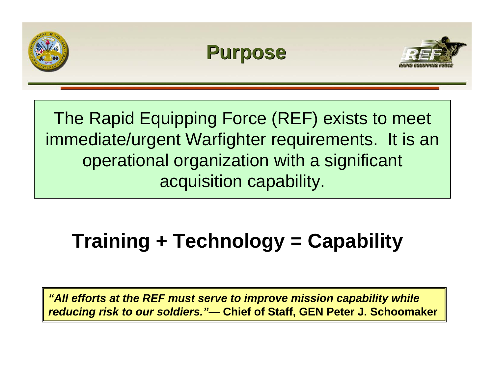

The Rapid Equipping Force (REF) exists to meet immediate/urgent Warfighter requirements. It is an operational organization with a significant acquisition capability.

#### **Training + Technology = Capability**

*"All efforts at the REF must serve to improve mission capability while reducing risk to our soldiers."—* **Chief of Staff, GEN Peter J. Schoomaker**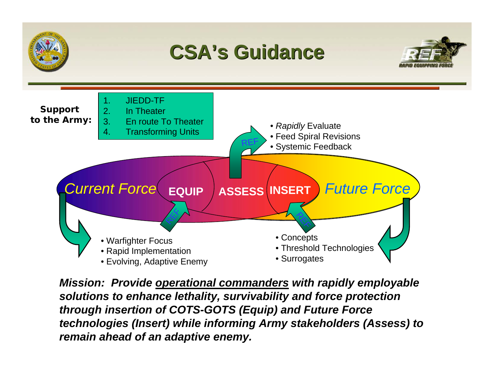

*Mission: Provide operational commanders with rapidly employable solutions to enhance lethality, survivability and force protection through insertion of COTS-GOTS (Equip) and Future Force technologies (Insert) while informing Army stakeholders (Assess) to remain ahead of an adaptive enemy.*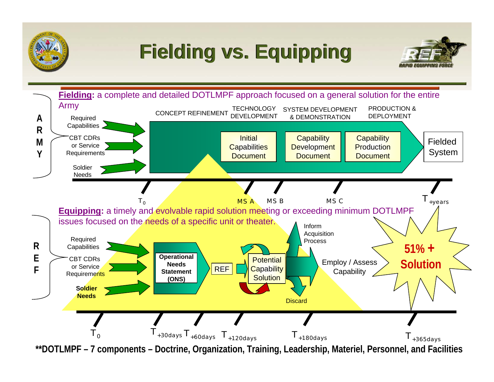

### **Fielding vs. Equipping Fielding vs. Equipping**



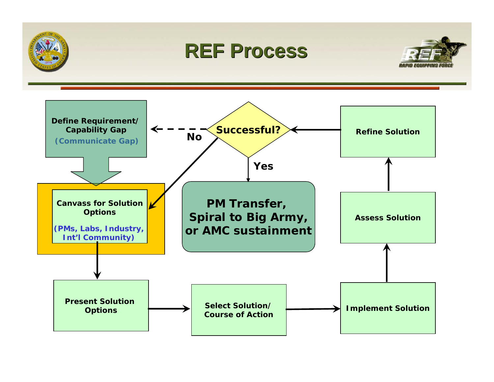

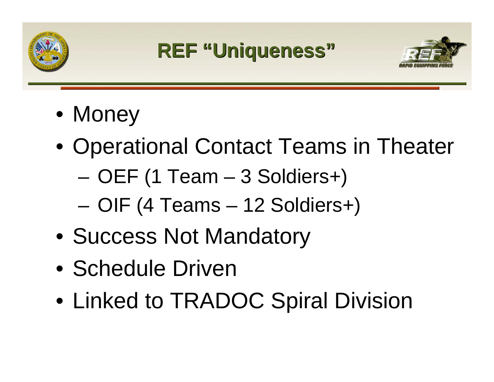





- •• Money
- $\bullet$ • Operational Contact Teams in Theater
	- –OEF (1 Team – 3 Soldiers+)
	- –OIF (4 Teams – 12 Soldiers+)
- •Success Not Mandatory
- Schedule Driven
- $\bullet$ Linked to TRADOC Spiral Division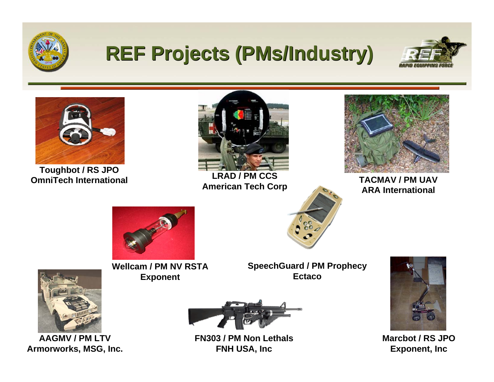

#### **REF Projects (PMs/Industry) REF Projects (PMs/Industry)**





**Toughbot / RS JPO OmniTech**



**LRAD / PM CCSAmerican T ech C orp**



 **International TACMAV / PM UAV ARA International**



**Wellcam / PM NV RSTA Exponent**

**SpeechGuard / PM Prophec y Ectaco**



**Marcbot / RS JPOExponent, Inc**



**AAGMV / PM LTVArmorworks, MSG, Inc.**



**FN303 / PM Non LethalsFNH USA, Inc**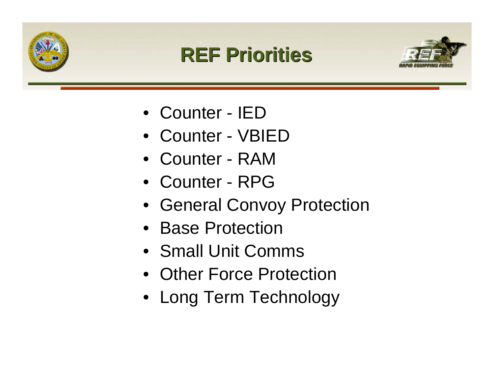





- •Counter IED
- •Counter VBIED
- •Counter RAM
- •Counter RPG
- General Convoy Protection
- •Base Protection
- •Small Unit Comms
- Other Force Protection
- Long Term Technology